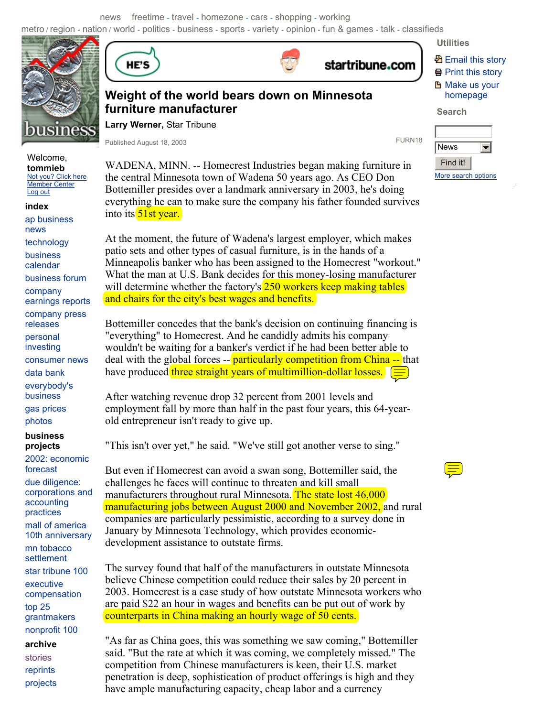news freetime - travel - homezone - cars - shopping - working

metro / region - nation / world - politics - business - sports - variety - opinion - fun & games - talk - classifieds



## Welcome, **tommieb**  Not you? Click here Member Center

Log out **index**  ap business news technology

business calendar business forum company earnings reports

company press releases personal investing consumer news data bank

everybody's business

gas prices

photos

#### **business projects**

**archive**  2002: economic forecast due diligence: corporations and accounting practices mall of america 10th anniversary mn tobacco settlement star tribune 100 executive compensation top 25 grantmakers nonprofit 100

stories reprints projects





# startribune.com

# **图 Email this story 骨 Print this story H** Make us your homepage

**Search** 

**Utilities** 

News  $\blacktriangledown$ Find it!More search options

**Weight of the world bears down on Minnesota furniture manufacturer** 

**Larry Werner,** Star Tribune

Published August 18, 2003 **FURN18** 

WADENA, MINN. -- Homecrest Industries began making furniture in the central Minnesota town of Wadena 50 years ago. As CEO Don Bottemiller presides over a landmark anniversary in 2003, he's doing everything he can to make sure the company his father founded survives into its **51st year**.

At the moment, the future of Wadena's largest employer, which makes patio sets and other types of casual furniture, is in the hands of a Minneapolis banker who has been assigned to the Homecrest "workout." What the man at U.S. Bank decides for this money-losing manufacturer will determine whether the factory's 250 workers keep making tables and chairs for the city's best wages and benefits.

Bottemiller concedes that the bank's decision on continuing financing is "everything" to Homecrest. And he candidly admits his company wouldn't be waiting for a banker's verdict if he had been better able to deal with the global forces -- **particularly competition from China --** that have produced three straight years of multimillion-dollar losses.  $\equiv$ 

After watching revenue drop 32 percent from 2001 levels and employment fall by more than half in the past four years, this 64-yearold entrepreneur isn't ready to give up.

"This isn't over yet," he said. "We've still got another verse to sing."

But even if Homecrest can avoid a swan song, Bottemiller said, the challenges he faces will continue to threaten and kill small manufacturers throughout rural Minnesota. The state lost 46,000 manufacturing jobs between August 2000 and November 2002, and rural companies are particularly pessimistic, according to a survey done in January by Minnesota Technology, which provides economicdevelopment assistance to outstate firms.

The survey found that half of the manufacturers in outstate Minnesota believe Chinese competition could reduce their sales by 20 percent in 2003. Homecrest is a case study of how outstate Minnesota workers who are paid \$22 an hour in wages and benefits can be put out of work by counterparts in China making an hourly wage of 50 cents.

"As far as China goes, this was something we saw coming," Bottemiller said. "But the rate at which it was coming, we completely missed." The competition from Chinese manufacturers is keen, their U.S. market penetration is deep, sophistication of product offerings is high and they have ample manufacturing capacity, cheap labor and a currency

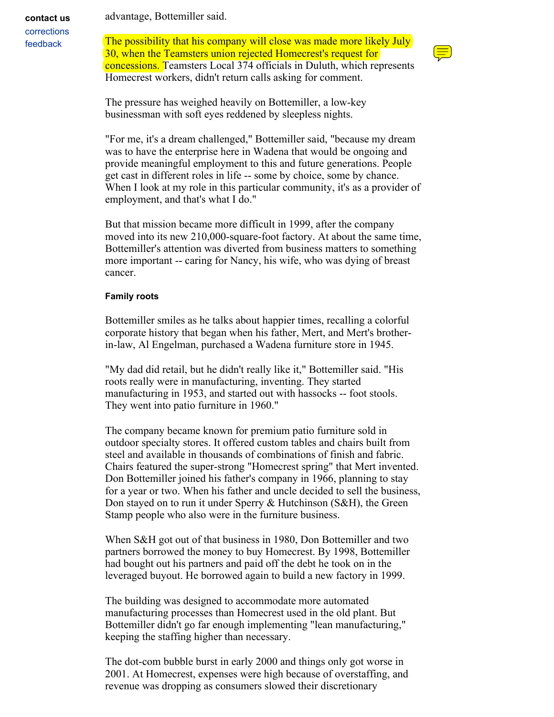advantage, Bottemiller said.

corrections feedback

**contact us** 

The possibility that his company will close was made more likely July 30, when the Teamsters union rejected Homecrest's request for concessions. Teamsters Local 374 officials in Duluth, which represents Homecrest workers, didn't return calls asking for comment.



The pressure has weighed heavily on Bottemiller, a low-key businessman with soft eyes reddened by sleepless nights.

"For me, it's a dream challenged," Bottemiller said, "because my dream was to have the enterprise here in Wadena that would be ongoing and provide meaningful employment to this and future generations. People get cast in different roles in life -- some by choice, some by chance. When I look at my role in this particular community, it's as a provider of employment, and that's what I do."

But that mission became more difficult in 1999, after the company moved into its new 210,000-square-foot factory. At about the same time, Bottemiller's attention was diverted from business matters to something more important -- caring for Nancy, his wife, who was dying of breast cancer.

### **Family roots**

Bottemiller smiles as he talks about happier times, recalling a colorful corporate history that began when his father, Mert, and Mert's brotherin-law, Al Engelman, purchased a Wadena furniture store in 1945.

"My dad did retail, but he didn't really like it," Bottemiller said. "His roots really were in manufacturing, inventing. They started manufacturing in 1953, and started out with hassocks -- foot stools. They went into patio furniture in 1960."

The company became known for premium patio furniture sold in outdoor specialty stores. It offered custom tables and chairs built from steel and available in thousands of combinations of finish and fabric. Chairs featured the super-strong "Homecrest spring" that Mert invented. Don Bottemiller joined his father's company in 1966, planning to stay for a year or two. When his father and uncle decided to sell the business, Don stayed on to run it under Sperry & Hutchinson (S&H), the Green Stamp people who also were in the furniture business.

When S&H got out of that business in 1980, Don Bottemiller and two partners borrowed the money to buy Homecrest. By 1998, Bottemiller had bought out his partners and paid off the debt he took on in the leveraged buyout. He borrowed again to build a new factory in 1999.

The building was designed to accommodate more automated manufacturing processes than Homecrest used in the old plant. But Bottemiller didn't go far enough implementing "lean manufacturing," keeping the staffing higher than necessary.

The dot-com bubble burst in early 2000 and things only got worse in 2001. At Homecrest, expenses were high because of overstaffing, and revenue was dropping as consumers slowed their discretionary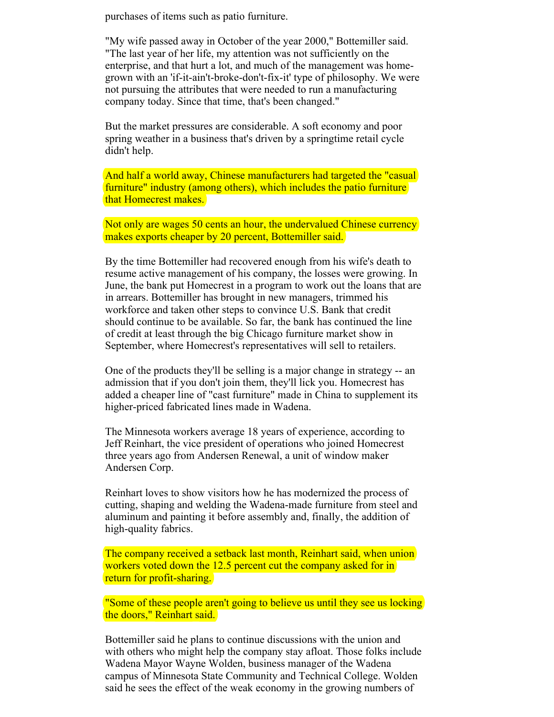purchases of items such as patio furniture.

"My wife passed away in October of the year 2000," Bottemiller said. "The last year of her life, my attention was not sufficiently on the enterprise, and that hurt a lot, and much of the management was homegrown with an 'if-it-ain't-broke-don't-fix-it' type of philosophy. We were not pursuing the attributes that were needed to run a manufacturing company today. Since that time, that's been changed."

But the market pressures are considerable. A soft economy and poor spring weather in a business that's driven by a springtime retail cycle didn't help.

And half a world away, Chinese manufacturers had targeted the "casual" furniture" industry (among others), which includes the patio furniture that Homecrest makes.

Not only are wages 50 cents an hour, the undervalued Chinese currency makes exports cheaper by 20 percent, Bottemiller said.

By the time Bottemiller had recovered enough from his wife's death to resume active management of his company, the losses were growing. In June, the bank put Homecrest in a program to work out the loans that are in arrears. Bottemiller has brought in new managers, trimmed his workforce and taken other steps to convince U.S. Bank that credit should continue to be available. So far, the bank has continued the line of credit at least through the big Chicago furniture market show in September, where Homecrest's representatives will sell to retailers.

One of the products they'll be selling is a major change in strategy -- an admission that if you don't join them, they'll lick you. Homecrest has added a cheaper line of "cast furniture" made in China to supplement its higher-priced fabricated lines made in Wadena.

The Minnesota workers average 18 years of experience, according to Jeff Reinhart, the vice president of operations who joined Homecrest three years ago from Andersen Renewal, a unit of window maker Andersen Corp.

Reinhart loves to show visitors how he has modernized the process of cutting, shaping and welding the Wadena-made furniture from steel and aluminum and painting it before assembly and, finally, the addition of high-quality fabrics.

The company received a setback last month, Reinhart said, when union workers voted down the 12.5 percent cut the company asked for in return for profit-sharing.

"Some of these people aren't going to believe us until they see us locking the doors," Reinhart said.

Bottemiller said he plans to continue discussions with the union and with others who might help the company stay afloat. Those folks include Wadena Mayor Wayne Wolden, business manager of the Wadena campus of Minnesota State Community and Technical College. Wolden said he sees the effect of the weak economy in the growing numbers of